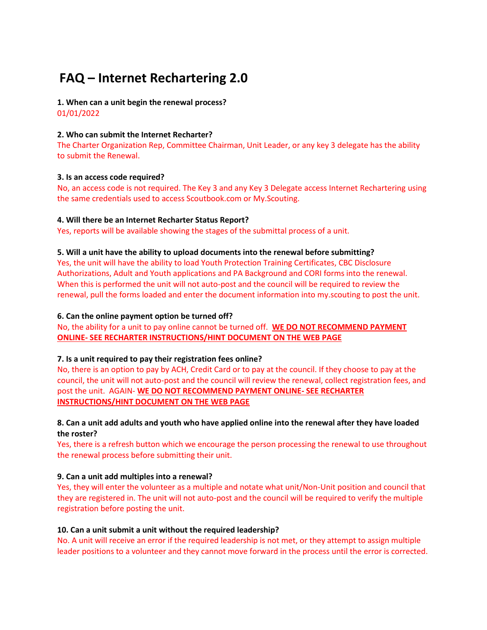# **FAQ – Internet Rechartering 2.0**

**1. When can a unit begin the renewal process?** 

01/01/2022

## **2. Who can submit the Internet Recharter?**

The Charter Organization Rep, Committee Chairman, Unit Leader, or any key 3 delegate has the ability to submit the Renewal.

# **3. Is an access code required?**

No, an access code is not required. The Key 3 and any Key 3 Delegate access Internet Rechartering using the same credentials used to access Scoutbook.com or My.Scouting.

# **4. Will there be an Internet Recharter Status Report?**

Yes, reports will be available showing the stages of the submittal process of a unit.

## **5. Will a unit have the ability to upload documents into the renewal before submitting?**

Yes, the unit will have the ability to load Youth Protection Training Certificates, CBC Disclosure Authorizations, Adult and Youth applications and PA Background and CORI forms into the renewal. When this is performed the unit will not auto-post and the council will be required to review the renewal, pull the forms loaded and enter the document information into my.scouting to post the unit.

#### **6. Can the online payment option be turned off?**

No, the ability for a unit to pay online cannot be turned off. **WE DO NOT RECOMMEND PAYMENT ONLINE- SEE RECHARTER INSTRUCTIONS/HINT DOCUMENT ON THE WEB PAGE**

# **7. Is a unit required to pay their registration fees online?**

No, there is an option to pay by ACH, Credit Card or to pay at the council. If they choose to pay at the council, the unit will not auto-post and the council will review the renewal, collect registration fees, and post the unit. AGAIN- **WE DO NOT RECOMMEND PAYMENT ONLINE- SEE RECHARTER INSTRUCTIONS/HINT DOCUMENT ON THE WEB PAGE**

# **8. Can a unit add adults and youth who have applied online into the renewal after they have loaded the roster?**

Yes, there is a refresh button which we encourage the person processing the renewal to use throughout the renewal process before submitting their unit.

# **9. Can a unit add multiples into a renewal?**

Yes, they will enter the volunteer as a multiple and notate what unit/Non-Unit position and council that they are registered in. The unit will not auto-post and the council will be required to verify the multiple registration before posting the unit.

# **10. Can a unit submit a unit without the required leadership?**

No. A unit will receive an error if the required leadership is not met, or they attempt to assign multiple leader positions to a volunteer and they cannot move forward in the process until the error is corrected.